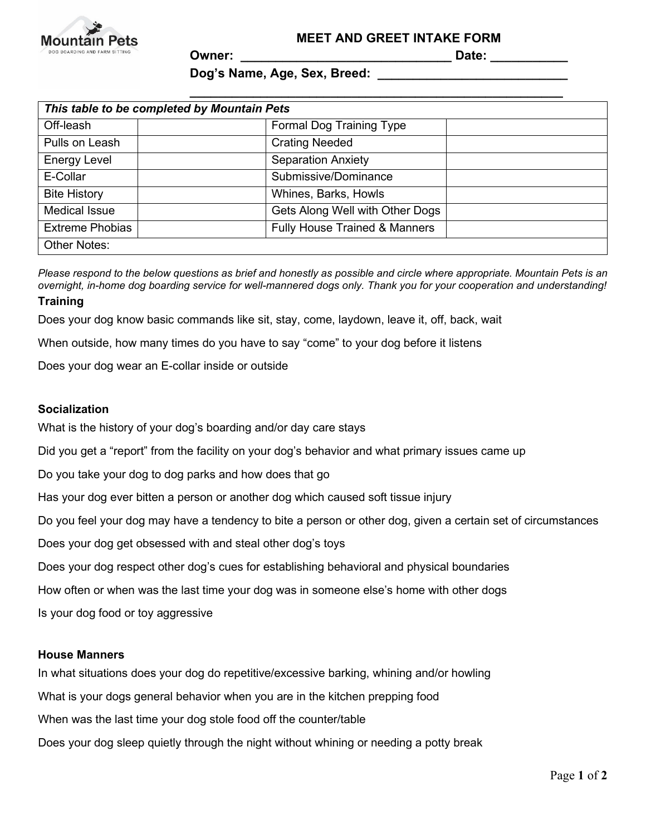

**Owner: \_\_\_\_\_\_\_\_\_\_\_\_\_\_\_\_\_\_\_\_\_\_\_\_\_\_\_\_\_\_ Date: \_\_\_\_\_\_\_\_\_\_\_**

# Dog's Name, Age, Sex, Breed:

| This table to be completed by Mountain Pets |                                          |
|---------------------------------------------|------------------------------------------|
| Off-leash                                   | Formal Dog Training Type                 |
| Pulls on Leash                              | <b>Crating Needed</b>                    |
| Energy Level                                | <b>Separation Anxiety</b>                |
| E-Collar                                    | Submissive/Dominance                     |
| <b>Bite History</b>                         | Whines, Barks, Howls                     |
| <b>Medical Issue</b>                        | Gets Along Well with Other Dogs          |
| <b>Extreme Phobias</b>                      | <b>Fully House Trained &amp; Manners</b> |
| <b>Other Notes:</b>                         |                                          |

*Please respond to the below questions as brief and honestly as possible and circle where appropriate. Mountain Pets is an overnight, in-home dog boarding service for well-mannered dogs only. Thank you for your cooperation and understanding!*

### **Training**

Does your dog know basic commands like sit, stay, come, laydown, leave it, off, back, wait

When outside, how many times do you have to say "come" to your dog before it listens

Does your dog wear an E-collar inside or outside

### **Socialization**

What is the history of your dog's boarding and/or day care stays

Did you get a "report" from the facility on your dog's behavior and what primary issues came up

Do you take your dog to dog parks and how does that go

Has your dog ever bitten a person or another dog which caused soft tissue injury

Do you feel your dog may have a tendency to bite a person or other dog, given a certain set of circumstances

Does your dog get obsessed with and steal other dog's toys

Does your dog respect other dog's cues for establishing behavioral and physical boundaries

How often or when was the last time your dog was in someone else's home with other dogs

Is your dog food or toy aggressive

### **House Manners**

In what situations does your dog do repetitive/excessive barking, whining and/or howling

What is your dogs general behavior when you are in the kitchen prepping food

When was the last time your dog stole food off the counter/table

Does your dog sleep quietly through the night without whining or needing a potty break